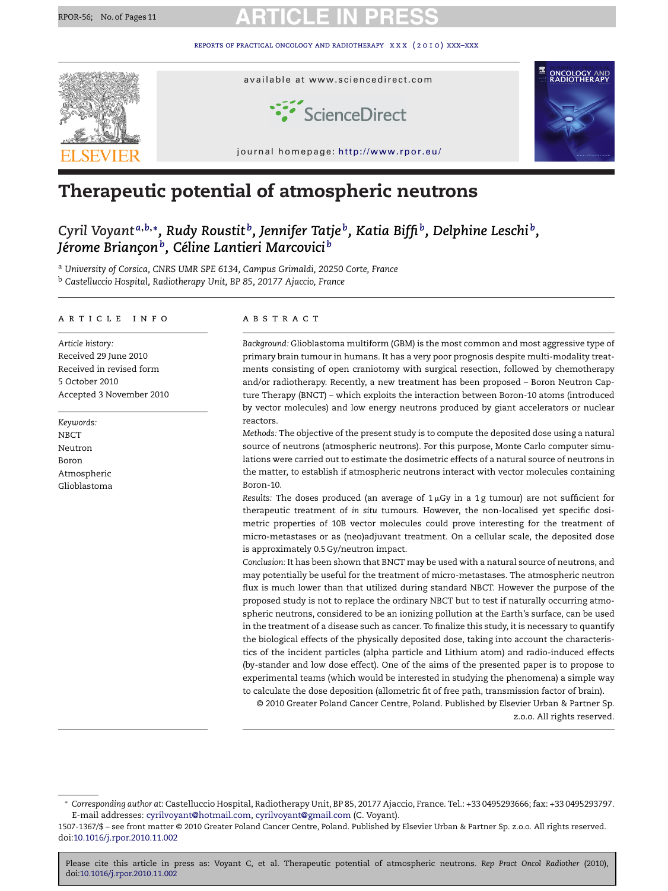

# **Therapeutic potential of atmospheric neutrons**

*Cyril Voyant <sup>a</sup>***,***b***,∗***, Rudy Roustit b, Jennifer Tatje b, Katia Biffib, Delphine Leschi b, Jérome Brianc¸onb, Céline Lantieri Marcovici <sup>b</sup>*

<sup>a</sup> *University of Corsica, CNRS UMR SPE 6134, Campus Grimaldi, 20250 Corte, France*

<sup>b</sup> *Castelluccio Hospital, Radiotherapy Unit, BP 85, 20177 Ajaccio, France*

#### article info

*Article history:* Received 29 June 2010 Received in revised form 5 October 2010 Accepted 3 November 2010

*Keywords:* NBCT Neutron Boron Atmospheric Glioblastoma

#### **ABSTRACT**

*Background:* Glioblastoma multiform (GBM) is the most common and most aggressive type of primary brain tumour in humans. It has a very poor prognosis despite multi-modality treatments consisting of open craniotomy with surgical resection, followed by chemotherapy and/or radiotherapy. Recently, a new treatment has been proposed – Boron Neutron Capture Therapy (BNCT) – which exploits the interaction between Boron-10 atoms (introduced by vector molecules) and low energy neutrons produced by giant accelerators or nuclear reactors.

*Methods:* The objective of the present study is to compute the deposited dose using a natural source of neutrons (atmospheric neutrons). For this purpose, Monte Carlo computer simulations were carried out to estimate the dosimetric effects of a natural source of neutrons in the matter, to establish if atmospheric neutrons interact with vector molecules containing Boron-10.

*Results:* The doses produced (an average of 1-Gy in a 1 g tumour) are not sufficient for therapeutic treatment of *in situ* tumours. However, the non-localised yet specific dosimetric properties of 10B vector molecules could prove interesting for the treatment of micro-metastases or as (neo)adjuvant treatment. On a cellular scale, the deposited dose is approximately 0.5 Gy/neutron impact.

*Conclusion:* It has been shown that BNCT may be used with a natural source of neutrons, and may potentially be useful for the treatment of micro-metastases. The atmospheric neutron flux is much lower than that utilized during standard NBCT. However the purpose of the proposed study is not to replace the ordinary NBCT but to test if naturally occurring atmospheric neutrons, considered to be an ionizing pollution at the Earth's surface, can be used in the treatment of a disease such as cancer. To finalize this study, it is necessary to quantify the biological effects of the physically deposited dose, taking into account the characteristics of the incident particles (alpha particle and Lithium atom) and radio-induced effects (by-stander and low dose effect). One of the aims of the presented paper is to propose to experimental teams (which would be interested in studying the phenomena) a simple way to calculate the dose deposition (allometric fit of free path, transmission factor of brain).

© 2010 Greater Poland Cancer Centre, Poland. Published by Elsevier Urban & Partner Sp. z.o.o. All rights reserved.

<sup>∗</sup> *Corresponding author at*: Castelluccio Hospital, Radiotherapy Unit, BP 85, 20177 Ajaccio, France. Tel.: +33 0495293666; fax: +33 0495293797. E-mail addresses: [cyrilvoyant@hotmail.com,](mailto:cyrilvoyant@hotmail.com) [cyrilvoyant@gmail.com](mailto:cyrilvoyant@gmail.com) (C. Voyant).

<sup>1507-1367/\$ –</sup> see front matter © 2010 Greater Poland Cancer Centre, Poland. Published by Elsevier Urban & Partner Sp. z.o.o. All rights reserved. doi:[10.1016/j.rpor.2010.11.002](dx.doi.org/10.1016/j.rpor.2010.11.002)

Please cite this article in press as: Voyant C, et al. Therapeutic potential of atmospheric neutrons. *Rep Pract Oncol Radiother* (2010), doi[:10.1016/j.rpor.2010.11.002](dx.doi.org/10.1016/j.rpor.2010.11.002)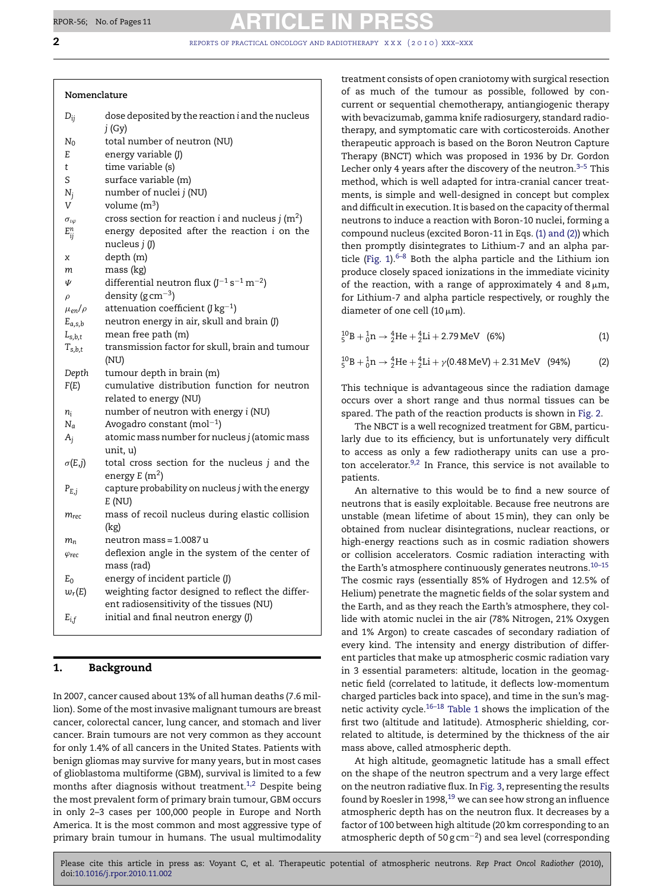### **Nomenclature**

| $D_{ij}$                | dose deposited by the reaction i and the nucleus<br>j(Gy)         |
|-------------------------|-------------------------------------------------------------------|
| $N_0$                   | total number of neutron (NU)                                      |
| E                       | energy variable (J)                                               |
| t                       | time variable (s)                                                 |
| S                       | surface variable (m)                                              |
| $N_i$                   | number of nuclei j (NU)                                           |
| V                       | volume $(m^3)$                                                    |
| $\sigma_{\iota\varphi}$ | cross section for reaction <i>i</i> and nucleus <i>j</i> ( $m2$ ) |
| $E_{ij}^n$              | energy deposited after the reaction i on the                      |
|                         | nucleus $j$ $(J)$                                                 |
| x                       | depth (m)                                                         |
| m                       | mass (kg)                                                         |
| Ψ                       | differential neutron flux $(J^{-1} s^{-1} m^{-2})$                |
| $\rho$                  | density ( $g \text{ cm}^{-3}$ )                                   |
| $\mu_{en}/\rho$         | attenuation coefficient (J $kg^{-1}$ )                            |
| $E_{a,s,b}$             | neutron energy in air, skull and brain (J)                        |
| $L_{s,b,t}$             | mean free path (m)                                                |
| $T_{s,b,t}$             | transmission factor for skull, brain and tumour                   |
|                         | (NU)                                                              |
| Depth                   | tumour depth in brain (m)                                         |
| F(E)                    | cumulative distribution function for neutron                      |
|                         | related to energy (NU)                                            |
| n <sub>i</sub>          | number of neutron with energy i (NU)                              |
| $N_a$                   | Avogadro constant (mol $^{-1}$ )                                  |
| $A_i$                   | atomic mass number for nucleus j (atomic mass<br>unit, u)         |
| $\sigma(E,j)$           | total cross section for the nucleus j and the                     |
|                         | energy $E(m^2)$                                                   |
| $P_{E,j}$               | capture probability on nucleus j with the energy                  |
|                         | E(NU)                                                             |
| $m_{rec}$               | mass of recoil nucleus during elastic collision                   |
|                         | (kg)                                                              |
| $m_n$                   | neutron mass = 1.0087 u                                           |
| $\varphi$ rec           | deflexion angle in the system of the center of                    |
|                         | mass (rad)                                                        |
| $E_0$                   | energy of incident particle (J)                                   |
| $w_r(E)$                | weighting factor designed to reflect the differ-                  |
|                         | ent radiosensitivity of the tissues (NU)                          |
| $E_{i,f}$               | initial and final neutron energy (J)                              |
|                         |                                                                   |

# **1. Background**

In 2007, cancer caused about 13% of all human deaths (7.6 million). Some of the most invasive malignant tumours are breast cancer, colorectal cancer, lung cancer, and stomach and liver cancer. Brain tumours are not very common as they account for only 1.4% of all cancers in the United States. Patients with benign gliomas may survive for many years, but in most cases of glioblastoma multiforme (GBM), survival is limited to a few months after diagnosis without treatment.<sup>[1,2](#page-9-0)</sup> Despite being the most prevalent form of primary brain tumour, GBM occurs in only 2–3 cases per 100,000 people in Europe and North America. It is the most common and most aggressive type of primary brain tumour in humans. The usual multimodality treatment consists of open craniotomy with surgical resection of as much of the tumour as possible, followed by concurrent or sequential chemotherapy, antiangiogenic therapy with bevacizumab, gamma knife radiosurgery, standard radiotherapy, and symptomatic care with corticosteroids. Another therapeutic approach is based on the Boron Neutron Capture Therapy (BNCT) which was proposed in 1936 by Dr. Gordon Lecher only 4 years after the discovery of the neutron. $3-5$  This method, which is well adapted for intra-cranial cancer treatments, is simple and well-designed in concept but complex and difficult in execution. It is based on the capacity of thermal neutrons to induce a reaction with Boron-10 nuclei, forming a compound nucleus (excited Boron-11 in Eqs. (1) and (2)) which then promptly disintegrates to Lithium-7 and an alpha par-ticle ([Fig. 1\).](#page-2-0) $6-8$  Both the alpha particle and the Lithium ion produce closely spaced ionizations in the immediate vicinity of the reaction, with a range of approximately 4 and 8 $\mu$ m, for Lithium-7 and alpha particle respectively, or roughly the diameter of one cell (10  $\mu$ m).

 $_{5}^{10}B + _{0}^{1}n \rightarrow _{2}^{4}He + _{2}^{4}Li + 2.79 MeV$  (6%) (1)

 $^{10}_{5}B + ^{1}_{0}n \rightarrow ^{4}_{2}He + ^{4}_{2}Li + \gamma(0.48 \text{ MeV}) + 2.31 \text{ MeV}$  (94%) (2)

This technique is advantageous since the radiation damage occurs over a short range and thus normal tissues can be spared. The path of the reaction products is shown in [Fig. 2.](#page-2-0)

The NBCT is a well recognized treatment for GBM, particularly due to its efficiency, but is unfortunately very difficult to access as only a few radiotherapy units can use a proton accelerator. $9,2$  In France, this service is not available to patients.

An alternative to this would be to find a new source of neutrons that is easily exploitable. Because free neutrons are unstable (mean lifetime of about 15min), they can only be obtained from nuclear disintegrations, nuclear reactions, or high-energy reactions such as in cosmic radiation showers or collision accelerators. Cosmic radiation interacting with the Earth's atmosphere continuously generates neutrons.<sup>10-15</sup> The cosmic rays (essentially 85% of Hydrogen and 12.5% of Helium) penetrate the magnetic fields of the solar system and the Earth, and as they reach the Earth's atmosphere, they collide with atomic nuclei in the air (78% Nitrogen, 21% Oxygen and 1% Argon) to create cascades of secondary radiation of every kind. The intensity and energy distribution of different particles that make up atmospheric cosmic radiation vary in 3 essential parameters: altitude, location in the geomagnetic field (correlated to latitude, it deflects low-momentum charged particles back into space), and time in the sun's mag-netic activity cycle.<sup>[16–18](#page-9-0)</sup> [Table 1](#page-2-0) shows the implication of the first two (altitude and latitude). Atmospheric shielding, correlated to altitude, is determined by the thickness of the air mass above, called atmospheric depth.

At high altitude, geomagnetic latitude has a small effect on the shape of the neutron spectrum and a very large effect on the neutron radiative flux. In [Fig. 3, r](#page-3-0)epresenting the results found by Roesler in 1998, $19$  we can see how strong an influence atmospheric depth has on the neutron flux. It decreases by a factor of 100 between high altitude (20 km corresponding to an atmospheric depth of 50 g cm<sup>-2</sup>) and sea level (corresponding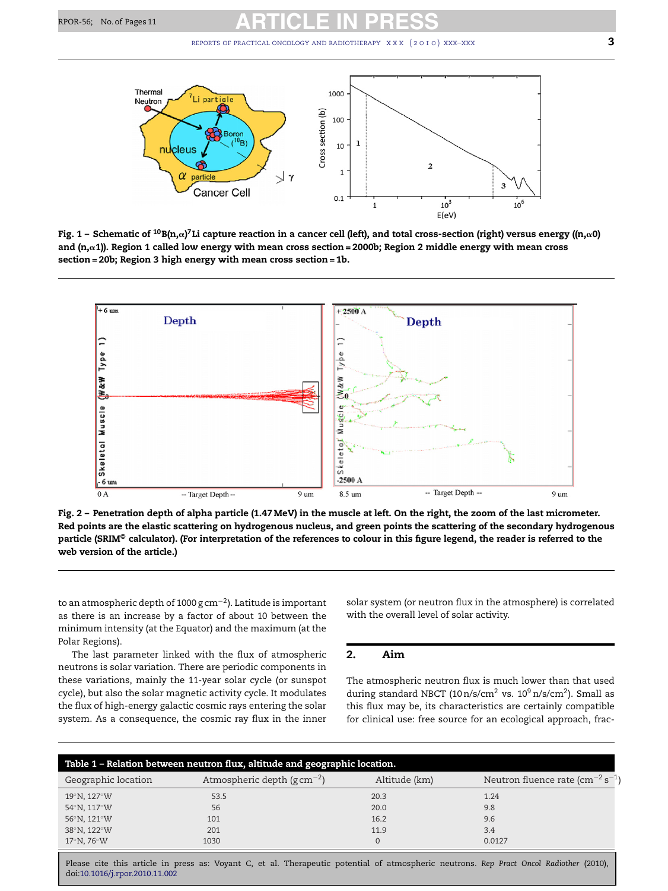<span id="page-2-0"></span>

Fig. 1 – Schematic of <sup>10</sup>B(n,α)<sup>7</sup>Li capture reaction in a cancer cell (left), and total cross-section (right) versus energy ((n,α0) **and (n,**-**1)). Region 1 called low energy with mean cross section = 2000b; Region 2 middle energy with mean cross section = 20b; Region 3 high energy with mean cross section = 1b.**



**Fig. 2 – Penetration depth of alpha particle (1.47 MeV) in the muscle at left. On the right, the zoom of the last micrometer. Red points are the elastic scattering on hydrogenous nucleus, and green points the scattering of the secondary hydrogenous particle (SRIM© calculator). (For interpretation of the references to colour in this figure legend, the reader is referred to the web version of the article.)**

to an atmospheric depth of 1000 g cm−2). Latitude is important as there is an increase by a factor of about 10 between the minimum intensity (at the Equator) and the maximum (at the Polar Regions).

The last parameter linked with the flux of atmospheric neutrons is solar variation. There are periodic components in these variations, mainly the 11-year solar cycle (or sunspot cycle), but also the solar magnetic activity cycle. It modulates the flux of high-energy galactic cosmic rays entering the solar system. As a consequence, the cosmic ray flux in the inner solar system (or neutron flux in the atmosphere) is correlated with the overall level of solar activity.

## **2. Aim**

The atmospheric neutron flux is much lower than that used during standard NBCT (10 n/s/cm<sup>2</sup> vs.  $10^9$  n/s/cm<sup>2</sup>). Small as this flux may be, its characteristics are certainly compatible for clinical use: free source for an ecological approach, frac-

| Table 1 - Relation between neutron flux, altitude and geographic location. |                                           |               |                                              |  |
|----------------------------------------------------------------------------|-------------------------------------------|---------------|----------------------------------------------|--|
| Geographic location                                                        | Atmospheric depth ( $g \text{ cm}^{-2}$ ) | Altitude (km) | Neutron fluence rate $\rm (cm^{-2}\,s^{-1})$ |  |
| $19^{\circ}$ N, $127^{\circ}$ W                                            | 53.5                                      | 20.3          | 1.24                                         |  |
| 54°N, 117°W                                                                | 56                                        | 20.0          | 9.8                                          |  |
| 56°N, 121°W                                                                | 101                                       | 16.2          | 9.6                                          |  |
| 38°N, 122°W                                                                | 201                                       | 11.9          | 3.4                                          |  |
| $17^\circ$ N, 76 $^\circ$ W                                                | 1030                                      | $\mathbf{0}$  | 0.0127                                       |  |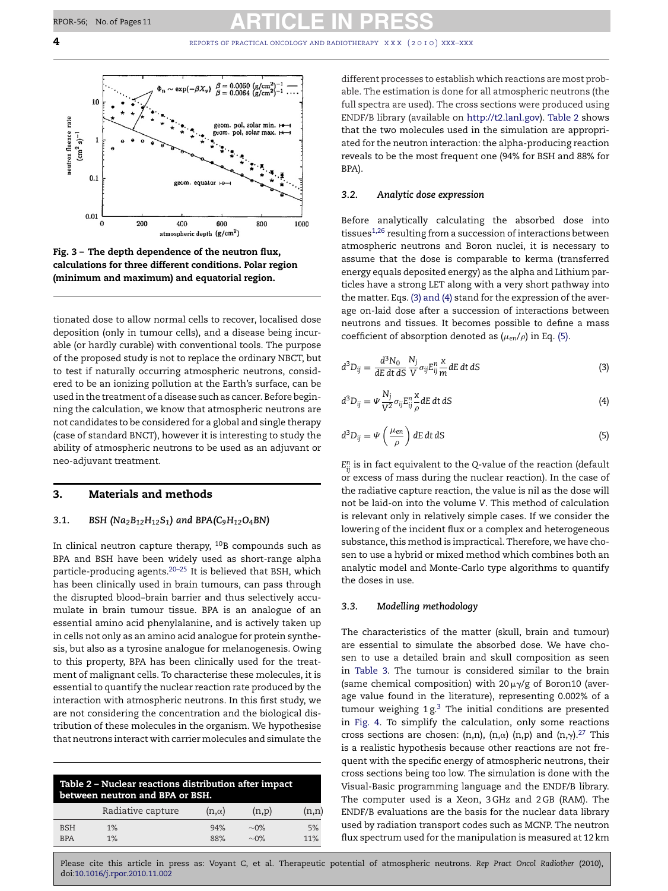<span id="page-3-0"></span>**4** *REPORTS OF PRACTICAL ONCOLOGY AND RADIOTHERAPY X X x (2010) XXX–XXX* 



**Fig. 3 – The depth dependence of the neutron flux, calculations for three different conditions. Polar region (minimum and maximum) and equatorial region.**

tionated dose to allow normal cells to recover, localised dose deposition (only in tumour cells), and a disease being incurable (or hardly curable) with conventional tools. The purpose of the proposed study is not to replace the ordinary NBCT, but to test if naturally occurring atmospheric neutrons, considered to be an ionizing pollution at the Earth's surface, can be used in the treatment of a disease such as cancer. Before beginning the calculation, we know that atmospheric neutrons are not candidates to be considered for a global and single therapy (case of standard BNCT), however it is interesting to study the ability of atmospheric neutrons to be used as an adjuvant or neo-adjuvant treatment.

### **3. Materials and methods**

### *3.1. BSH (Na2B12H12S1) and BPA(C9H12O4BN)*

In clinical neutron capture therapy,  $10B$  compounds such as BPA and BSH have been widely used as short-range alpha particle-producing agents.[20–25](#page-9-0) It is believed that BSH, which has been clinically used in brain tumours, can pass through the disrupted blood–brain barrier and thus selectively accumulate in brain tumour tissue. BPA is an analogue of an essential amino acid phenylalanine, and is actively taken up in cells not only as an amino acid analogue for protein synthesis, but also as a tyrosine analogue for melanogenesis. Owing to this property, BPA has been clinically used for the treatment of malignant cells. To characterise these molecules, it is essential to quantify the nuclear reaction rate produced by the interaction with atmospheric neutrons. In this first study, we are not considering the concentration and the biological distribution of these molecules in the organism. We hypothesise that neutrons interact with carrier molecules and simulate the

| Table 2 - Nuclear reactions distribution after impact<br>between neutron and BPA or BSH. |                   |              |           |       |
|------------------------------------------------------------------------------------------|-------------------|--------------|-----------|-------|
|                                                                                          | Radiative capture | $(n,\alpha)$ | (n,p)     | (n,n) |
| <b>BSH</b>                                                                               | 1%                | 94%          | $\sim$ 0% | 5%    |
| <b>BPA</b>                                                                               | 1%                | 88%          | $\sim$ 0% | 11%   |

different processes to establish which reactions are most probable. The estimation is done for all atmospheric neutrons (the full spectra are used). The cross sections were produced using ENDF/B library (available on [http://t2.lanl.gov](http://t2.lanl.gov/)). Table 2 shows that the two molecules used in the simulation are appropriated for the neutron interaction: the alpha-producing reaction reveals to be the most frequent one (94% for BSH and 88% for BPA).

### *3.2. Analytic dose expression*

Before analytically calculating the absorbed dose into tissues $1,26$  resulting from a succession of interactions between atmospheric neutrons and Boron nuclei, it is necessary to assume that the dose is comparable to kerma (transferred energy equals deposited energy) as the alpha and Lithium particles have a strong LET along with a very short pathway into the matter. Eqs. (3) and (4) stand for the expression of the average on-laid dose after a succession of interactions between neutrons and tissues. It becomes possible to define a mass coefficient of absorption denoted as  $(\mu_{en}/\rho)$  in Eq. (5).

$$
d^{3}D_{ij} = \frac{d^{3}N_{0}}{dE dt ds} \frac{N_{j}}{V} \sigma_{ij} E_{ij}^{n} \frac{x}{m} dE dt dS
$$
 (3)

$$
d^{3}D_{ij} = \Psi \frac{N_{j}}{V^{2}} \sigma_{ij} E_{ij}^{n} \frac{\partial}{\partial \rho} dE dt dS
$$
 (4)

$$
d^{3}D_{ij} = \Psi\left(\frac{\mu_{en}}{\rho}\right) dE dt dS
$$
 (5)

 $E_{ii}^{n}$  is in fact equivalent to the *Q*-value of the reaction (default or excess of mass during the nuclear reaction). In the case of the radiative capture reaction, the value is nil as the dose will not be laid-on into the volume *V*. This method of calculation is relevant only in relatively simple cases. If we consider the lowering of the incident flux or a complex and heterogeneous substance, this method is impractical. Therefore, we have chosen to use a hybrid or mixed method which combines both an analytic model and Monte-Carlo type algorithms to quantify the doses in use.

### *3.3. Modelling methodology*

The characteristics of the matter (skull, brain and tumour) are essential to simulate the absorbed dose. We have chosen to use a detailed brain and skull composition as seen in [Table 3.](#page-4-0) The tumour is considered similar to the brain (same chemical composition) with 20 $\mu$  $\gamma$ /g of Boron10 (average value found in the literature), representing 0.002% of a tumour weighing  $1 g<sup>3</sup>$  $1 g<sup>3</sup>$  $1 g<sup>3</sup>$ . The initial conditions are presented in [Fig. 4.](#page-4-0) To simplify the calculation, only some reactions cross sections are chosen: (n,n), (n, $\alpha$ ) (n,p) and (n, $\gamma$ ).<sup>[27](#page-10-0)</sup> This is a realistic hypothesis because other reactions are not frequent with the specific energy of atmospheric neutrons, their cross sections being too low. The simulation is done with the Visual-Basic programming language and the ENDF/B library. The computer used is a Xeon, 3 GHz and 2 GB (RAM). The ENDF/B evaluations are the basis for the nuclear data library used by radiation transport codes such as MCNP. The neutron flux spectrum used for the manipulation is measured at 12 km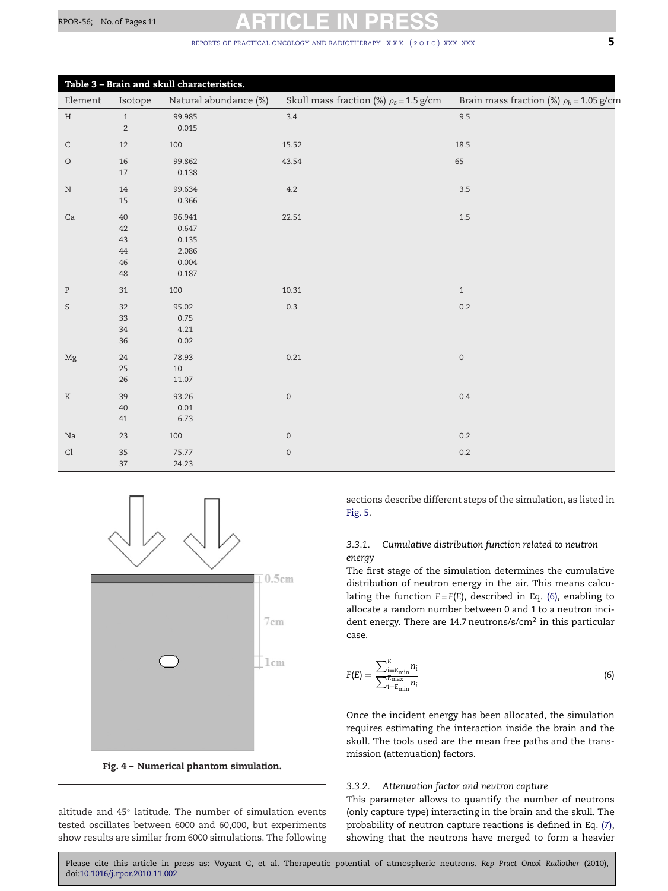<span id="page-4-0"></span>

| Table 3 - Brain and skull characteristics. |                                      |                                                     |                                             |                                              |
|--------------------------------------------|--------------------------------------|-----------------------------------------------------|---------------------------------------------|----------------------------------------------|
| Element                                    | Isotope                              | Natural abundance (%)                               | Skull mass fraction (%) $\rho_s$ = 1.5 g/cm | Brain mass fraction (%) $\rho_b$ = 1.05 g/cm |
| H                                          | $\mathbf{1}$<br>$\sqrt{2}$           | 99.985<br>0.015                                     | 3.4                                         | 9.5                                          |
| $\mathsf C$                                | 12                                   | 100                                                 | 15.52                                       | 18.5                                         |
| $\bigcirc$                                 | 16<br>$17$                           | 99.862<br>0.138                                     | 43.54                                       | 65                                           |
| $\rm N$                                    | 14<br>15                             | 99.634<br>0.366                                     | 4.2                                         | $3.5\,$                                      |
| Ca                                         | 40<br>42<br>43<br>44<br>46<br>$48\,$ | 96.941<br>0.647<br>0.135<br>2.086<br>0.004<br>0.187 | 22.51                                       | 1.5                                          |
| $\, {\bf P}$                               | 31                                   | 100                                                 | 10.31                                       | $\mathbf{1}$                                 |
| S                                          | $32\,$<br>33<br>$34\,$<br>36         | 95.02<br>0.75<br>4.21<br>0.02                       | 0.3                                         | $0.2\,$                                      |
| Mg                                         | 24<br>$25\,$<br>$26\,$               | 78.93<br>$10\,$<br>11.07                            | 0.21                                        | $\mathsf{O}\xspace$                          |
| $\rm K$                                    | 39<br>40<br>41                       | 93.26<br>0.01<br>6.73                               | $\mathsf{O}\xspace$                         | 0.4                                          |
| Na                                         | 23                                   | 100                                                 | $\mathsf{O}\xspace$                         | 0.2                                          |
| Cl                                         | 35<br>37                             | 75.77<br>24.23                                      | $\mathbf 0$                                 | $0.2\,$                                      |



**Fig. 4 – Numerical phantom simulation.**

altitude and 45◦ latitude. The number of simulation events tested oscillates between 6000 and 60,000, but experiments show results are similar from 6000 simulations. The following sections describe different steps of the simulation, as listed in [Fig. 5.](#page-5-0)

### *3.3.1. Cumulative distribution function related to neutron energy*

The first stage of the simulation determines the cumulative distribution of neutron energy in the air. This means calculating the function  $F = F(E)$ , described in Eq. (6), enabling to allocate a random number between 0 and 1 to a neutron incident energy. There are 14.7 neutrons/s/cm2 in this particular case.

$$
F(E) = \frac{\sum_{i=E_{\min}}^{E} n_i}{\sum_{i=E_{\min}}^{E_{\max}} n_i}
$$
(6)

Once the incident energy has been allocated, the simulation requires estimating the interaction inside the brain and the skull. The tools used are the mean free paths and the transmission (attenuation) factors.

#### *3.3.2. Attenuation factor and neutron capture*

This parameter allows to quantify the number of neutrons (only capture type) interacting in the brain and the skull. The probability of neutron capture reactions is defined in Eq. [\(7\),](#page-5-0) showing that the neutrons have merged to form a heavier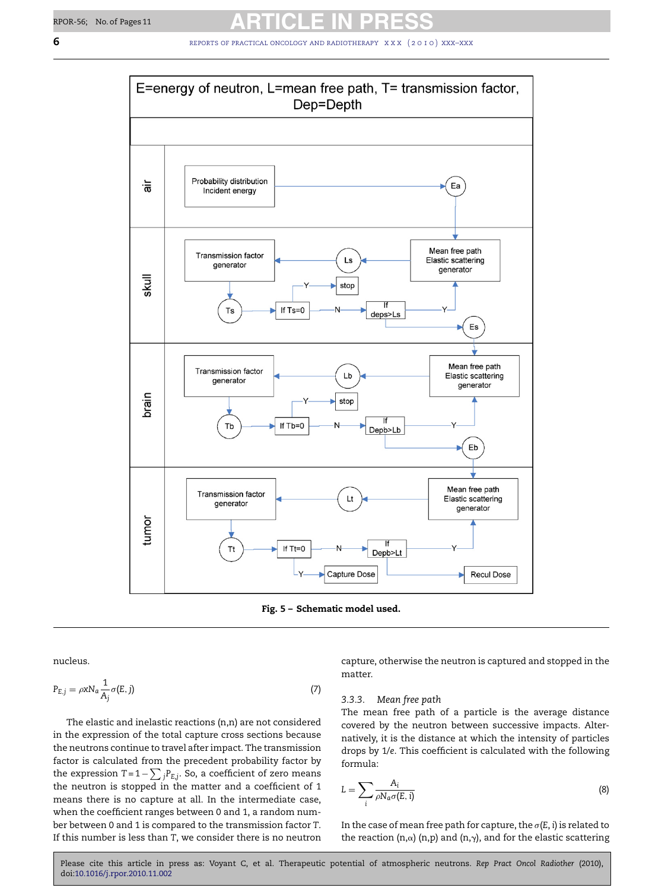

<span id="page-5-0"></span>

**Fig. 5 – Schematic model used.**

nucleus.

$$
P_{E,j} = \rho x N_a \frac{1}{A_j} \sigma(E,j)
$$
\n(7)

The elastic and inelastic reactions (n,n) are not considered in the expression of the total capture cross sections because the neutrons continue to travel after impact. The transmission factor is calculated from the precedent probability factor by the expression  $T = 1 - \sum_j P_{E,j}$ . So, a coefficient of zero means the neutron is stopped in the matter and a coefficient of 1 means there is no capture at all. In the intermediate case, when the coefficient ranges between 0 and 1, a random number between 0 and 1 is compared to the transmission factor *T*. If this number is less than *T*, we consider there is no neutron capture, otherwise the neutron is captured and stopped in the matter.

#### *3.3.3. Mean free path*

The mean free path of a particle is the average distance covered by the neutron between successive impacts. Alternatively, it is the distance at which the intensity of particles drops by 1/*e*. This coefficient is calculated with the following formula:

$$
L = \sum_{i} \frac{A_i}{\rho N_a \sigma(E, i)}
$$
(8)

In the case of mean free path for capture, the  $\sigma(E, i)$  is related to the reaction (n, $\alpha$ ) (n,p) and (n, $\gamma$ ), and for the elastic scattering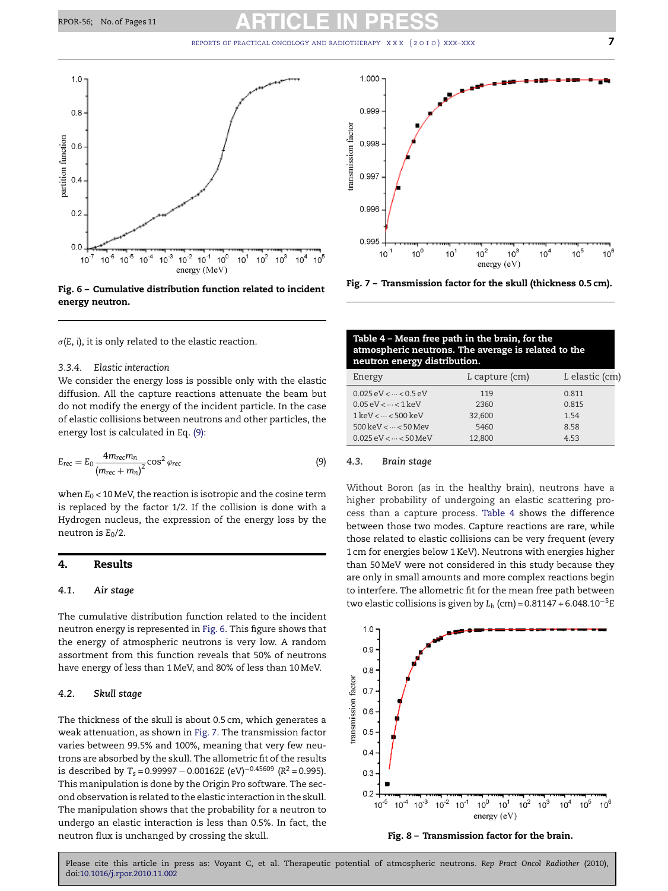<span id="page-6-0"></span>

**Fig. 6 – Cumulative distribution function related to incident energy neutron.**

 $\sigma(E, i)$ , it is only related to the elastic reaction.

#### *3.3.4. Elastic interaction*

We consider the energy loss is possible only with the elastic diffusion. All the capture reactions attenuate the beam but do not modify the energy of the incident particle. In the case of elastic collisions between neutrons and other particles, the energy lost is calculated in Eq. (9):

$$
E_{rec} = E_0 \frac{4m_{rec}m_n}{\left(m_{rec} + m_n\right)^2} \cos^2 \varphi_{rec}
$$
\n(9)

when  $E_0$  < 10 MeV, the reaction is isotropic and the cosine term is replaced by the factor 1/2. If the collision is done with a Hydrogen nucleus, the expression of the energy loss by the neutron is  $E_0/2$ .

#### **4. Results**

#### *4.1. Air stage*

The cumulative distribution function related to the incident neutron energy is represented in Fig. 6. This figure shows that the energy of atmospheric neutrons is very low. A random assortment from this function reveals that 50% of neutrons have energy of less than 1 MeV, and 80% of less than 10 MeV.

#### *4.2. Skull stage*

The thickness of the skull is about 0.5 cm, which generates a weak attenuation, as shown in Fig. 7. The transmission factor varies between 99.5% and 100%, meaning that very few neutrons are absorbed by the skull. The allometric fit of the results is described by  $T_s = 0.99997 - 0.00162E$  (eV)<sup>-0.45609</sup> ( $R^2 = 0.995$ ). This manipulation is done by the Origin Pro software. The second observation is related to the elastic interaction in the skull. The manipulation shows that the probability for a neutron to undergo an elastic interaction is less than 0.5%. In fact, the neutron flux is unchanged by crossing the skull.



**Fig. 7 – Transmission factor for the skull (thickness 0.5 cm).**

### **Table 4 – Mean free path in the brain, for the atmospheric neutrons. The average is related to the neutron energy distribution.**

| Energy                                           | L capture (cm) | L elastic (cm) |
|--------------------------------------------------|----------------|----------------|
| $0.025 \, \text{eV} < \cdots < 0.5 \, \text{eV}$ | 119            | 0.811          |
| $0.05 \, \text{eV} < \dots < 1 \, \text{keV}$    | 2360           | 0.815          |
| $1 \text{ keV} < \dots < 500 \text{ keV}$        | 32,600         | 1.54           |
| 500 keV $<$ $\cdots$ < 50 Mev                    | 5460           | 8.58           |
| $0.025 \, \text{eV} < \dots < 50 \, \text{MeV}$  | 12,800         | 453            |

#### *4.3. Brain stage*

Without Boron (as in the healthy brain), neutrons have a higher probability of undergoing an elastic scattering process than a capture process. Table 4 shows the difference between those two modes. Capture reactions are rare, while those related to elastic collisions can be very frequent (every 1 cm for energies below 1 KeV). Neutrons with energies higher than 50 MeV were not considered in this study because they are only in small amounts and more complex reactions begin to interfere. The allometric fit for the mean free path between two elastic collisions is given by  $L_b$  (cm) = 0.81147 + 6.048.10<sup>-5</sup>E



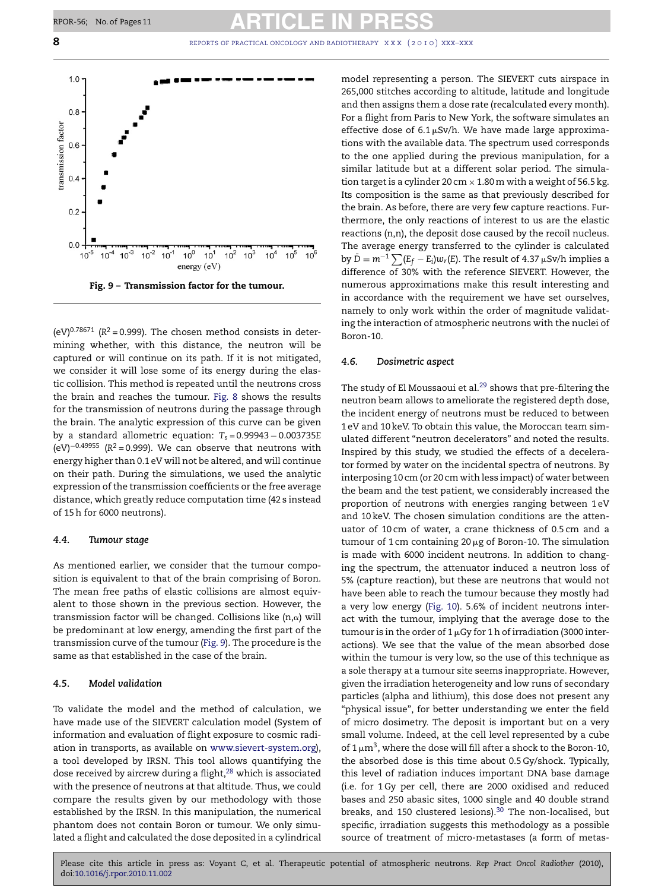**8 8 REPORTS OF PRACTICAL ONCOLOGY AND RADIOTHERAPY** XXX (2010) XXX–XXX



(eV)<sup>0.78671</sup> ( $R^2$  = 0.999). The chosen method consists in determining whether, with this distance, the neutron will be captured or will continue on its path. If it is not mitigated, we consider it will lose some of its energy during the elastic collision. This method is repeated until the neutrons cross the brain and reaches the tumour. [Fig. 8](#page-6-0) shows the results for the transmission of neutrons during the passage through the brain. The analytic expression of this curve can be given by a standard allometric equation: *Ts* = 0.99943 − 0.003735*E* (eV)−0.49955 (*R*<sup>2</sup> = 0.999). We can observe that neutrons with energy higher than 0.1 eV will not be altered, and will continue on their path. During the simulations, we used the analytic expression of the transmission coefficients or the free average distance, which greatly reduce computation time (42 s instead of 15 h for 6000 neutrons).

#### *4.4. Tumour stage*

As mentioned earlier, we consider that the tumour composition is equivalent to that of the brain comprising of Boron. The mean free paths of elastic collisions are almost equivalent to those shown in the previous section. However, the transmission factor will be changed. Collisions like  $(n,\alpha)$  will be predominant at low energy, amending the first part of the transmission curve of the tumour (Fig. 9). The procedure is the same as that established in the case of the brain.

### *4.5. Model validation*

To validate the model and the method of calculation, we have made use of the SIEVERT calculation model (System of information and evaluation of flight exposure to cosmic radiation in transports, as available on [www.sievert-system.org\)](http://www.sievert-system.org/), a tool developed by IRSN. This tool allows quantifying the dose received by aircrew during a flight, $28$  which is associated with the presence of neutrons at that altitude. Thus, we could compare the results given by our methodology with those established by the IRSN. In this manipulation, the numerical phantom does not contain Boron or tumour. We only simulated a flight and calculated the dose deposited in a cylindrical model representing a person. The SIEVERT cuts airspace in 265,000 stitches according to altitude, latitude and longitude and then assigns them a dose rate (recalculated every month). For a flight from Paris to New York, the software simulates an effective dose of 6.1 $\mu$ Sv/h. We have made large approximations with the available data. The spectrum used corresponds to the one applied during the previous manipulation, for a similar latitude but at a different solar period. The simulation target is a cylinder 20 cm  $\times$  1.80 m with a weight of 56.5 kg. Its composition is the same as that previously described for the brain. As before, there are very few capture reactions. Furthermore, the only reactions of interest to us are the elastic reactions (n,n), the deposit dose caused by the recoil nucleus. The average energy transferred to the cylinder is calculated by  $\bar{D} = m^{-1} \sum (E_f - E_i) w_r(E)$ . The result of 4.37 µSv/h implies a difference of 30% with the reference SIEVERT. However, the numerous approximations make this result interesting and in accordance with the requirement we have set ourselves, namely to only work within the order of magnitude validating the interaction of atmospheric neutrons with the nuclei of Boron-10.

#### *4.6. Dosimetric aspect*

The study of El Moussaoui et al.<sup>[29](#page-10-0)</sup> shows that pre-filtering the neutron beam allows to ameliorate the registered depth dose, the incident energy of neutrons must be reduced to between 1 eV and 10 keV. To obtain this value, the Moroccan team simulated different "neutron decelerators" and noted the results. Inspired by this study, we studied the effects of a decelerator formed by water on the incidental spectra of neutrons. By interposing 10 cm (or 20 cm with less impact) of water between the beam and the test patient, we considerably increased the proportion of neutrons with energies ranging between 1 eV and 10 keV. The chosen simulation conditions are the attenuator of 10 cm of water, a crane thickness of 0.5 cm and a tumour of 1 cm containing 20  $\mu$ g of Boron-10. The simulation is made with 6000 incident neutrons. In addition to changing the spectrum, the attenuator induced a neutron loss of 5% (capture reaction), but these are neutrons that would not have been able to reach the tumour because they mostly had a very low energy ([Fig. 10\).](#page-8-0) 5.6% of incident neutrons interact with the tumour, implying that the average dose to the tumour is in the order of 1  $\mu$ Gy for 1 h of irradiation (3000 interactions). We see that the value of the mean absorbed dose within the tumour is very low, so the use of this technique as a sole therapy at a tumour site seems inappropriate. However, given the irradiation heterogeneity and low runs of secondary particles (alpha and lithium), this dose does not present any "physical issue", for better understanding we enter the field of micro dosimetry. The deposit is important but on a very small volume. Indeed, at the cell level represented by a cube of  $1 \mu m^3$ , where the dose will fill after a shock to the Boron-10, the absorbed dose is this time about 0.5 Gy/shock. Typically, this level of radiation induces important DNA base damage (i.e. for 1 Gy per cell, there are 2000 oxidised and reduced bases and 250 abasic sites, 1000 single and 40 double strand breaks, and 150 clustered lesions).<sup>[30](#page-10-0)</sup> The non-localised, but specific, irradiation suggests this methodology as a possible source of treatment of micro-metastases (a form of metas-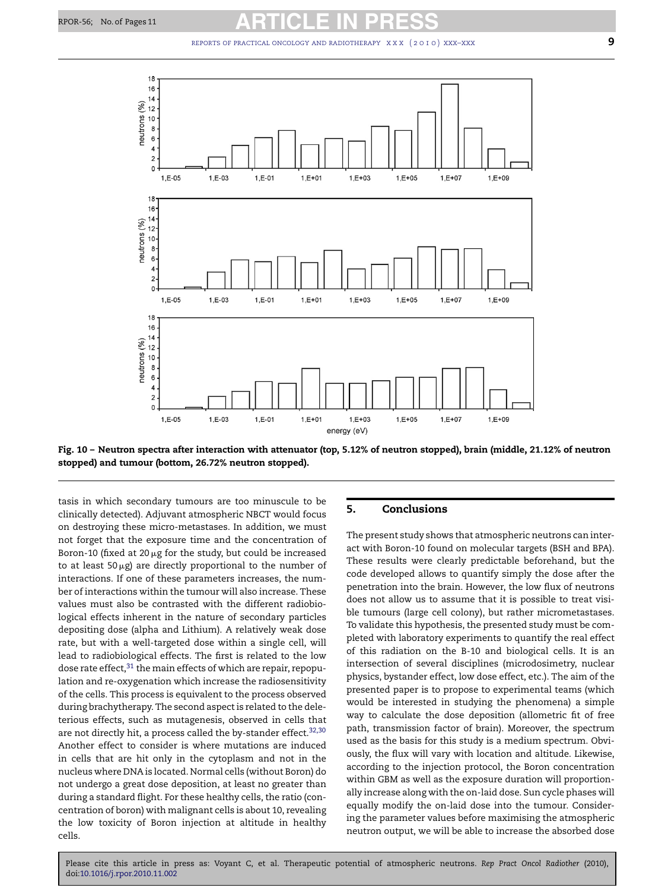<span id="page-8-0"></span>

**Fig. 10 – Neutron spectra after interaction with attenuator (top, 5.12% of neutron stopped), brain (middle, 21.12% of neutron stopped) and tumour (bottom, 26.72% neutron stopped).**

tasis in which secondary tumours are too minuscule to be clinically detected). Adjuvant atmospheric NBCT would focus on destroying these micro-metastases. In addition, we must not forget that the exposure time and the concentration of Boron-10 (fixed at 20  $\mu$ g for the study, but could be increased to at least 50 $\mu$ g) are directly proportional to the number of interactions. If one of these parameters increases, the number of interactions within the tumour will also increase. These values must also be contrasted with the different radiobiological effects inherent in the nature of secondary particles depositing dose (alpha and Lithium). A relatively weak dose rate, but with a well-targeted dose within a single cell, will lead to radiobiological effects. The first is related to the low dose rate effect,<sup>[31](#page-10-0)</sup> the main effects of which are repair, repopulation and re-oxygenation which increase the radiosensitivity of the cells. This process is equivalent to the process observed during brachytherapy. The second aspect is related to the deleterious effects, such as mutagenesis, observed in cells that are not directly hit, a process called the by-stander effect. $32,30$ Another effect to consider is where mutations are induced in cells that are hit only in the cytoplasm and not in the nucleus where DNA is located. Normal cells (without Boron) do not undergo a great dose deposition, at least no greater than during a standard flight. For these healthy cells, the ratio (concentration of boron) with malignant cells is about 10, revealing the low toxicity of Boron injection at altitude in healthy cells.

### **5. Conclusions**

The present study shows that atmospheric neutrons can interact with Boron-10 found on molecular targets (BSH and BPA). These results were clearly predictable beforehand, but the code developed allows to quantify simply the dose after the penetration into the brain. However, the low flux of neutrons does not allow us to assume that it is possible to treat visible tumours (large cell colony), but rather micrometastases. To validate this hypothesis, the presented study must be completed with laboratory experiments to quantify the real effect of this radiation on the B-10 and biological cells. It is an intersection of several disciplines (microdosimetry, nuclear physics, bystander effect, low dose effect, etc.). The aim of the presented paper is to propose to experimental teams (which would be interested in studying the phenomena) a simple way to calculate the dose deposition (allometric fit of free path, transmission factor of brain). Moreover, the spectrum used as the basis for this study is a medium spectrum. Obviously, the flux will vary with location and altitude. Likewise, according to the injection protocol, the Boron concentration within GBM as well as the exposure duration will proportionally increase along with the on-laid dose. Sun cycle phases will equally modify the on-laid dose into the tumour. Considering the parameter values before maximising the atmospheric neutron output, we will be able to increase the absorbed dose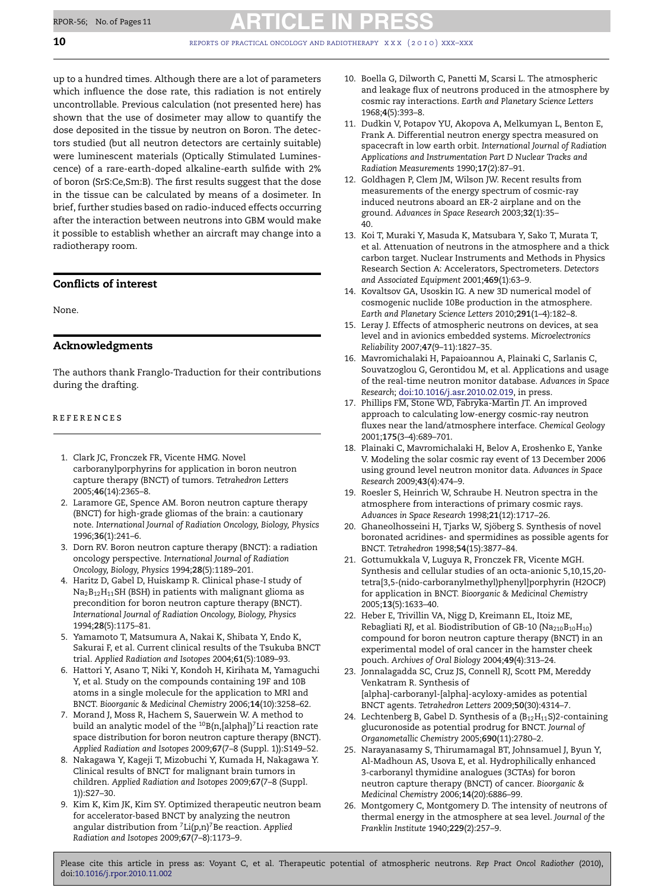<span id="page-9-0"></span>up to a hundred times. Although there are a lot of parameters which influence the dose rate, this radiation is not entirely uncontrollable. Previous calculation (not presented here) has shown that the use of dosimeter may allow to quantify the dose deposited in the tissue by neutron on Boron. The detectors studied (but all neutron detectors are certainly suitable) were luminescent materials (Optically Stimulated Luminescence) of a rare-earth-doped alkaline-earth sulfide with 2% of boron (SrS:Ce,Sm:B). The first results suggest that the dose in the tissue can be calculated by means of a dosimeter. In brief, further studies based on radio-induced effects occurring after the interaction between neutrons into GBM would make it possible to establish whether an aircraft may change into a radiotherapy room.

# **Conflicts of interest**

None.

# **Acknowledgments**

The authors thank Franglo-Traduction for their contributions during the drafting.

### references

- 1. Clark JC, Fronczek FR, Vicente HMG. Novel carboranylporphyrins for application in boron neutron capture therapy (BNCT) of tumors. *Tetrahedron Letters* 2005;**46**(14):2365–8.
- 2. Laramore GE, Spence AM. Boron neutron capture therapy (BNCT) for high-grade gliomas of the brain: a cautionary note. *International Journal of Radiation Oncology, Biology, Physics* 1996;**36**(1):241–6.
- 3. Dorn RV. Boron neutron capture therapy (BNCT): a radiation oncology perspective. *International Journal of Radiation Oncology, Biology, Physics* 1994;**28**(5):1189–201.
- 4. Haritz D, Gabel D, Huiskamp R. Clinical phase-I study of  $Na<sub>2</sub>B<sub>12</sub>H<sub>11</sub>SH$  (BSH) in patients with malignant glioma as precondition for boron neutron capture therapy (BNCT). *International Journal of Radiation Oncology, Biology, Physics* 1994;**28**(5):1175–81.
- 5. Yamamoto T, Matsumura A, Nakai K, Shibata Y, Endo K, Sakurai F, et al. Current clinical results of the Tsukuba BNCT trial. *Applied Radiation and Isotopes* 2004;**61**(5):1089–93.
- 6. Hattori Y, Asano T, Niki Y, Kondoh H, Kirihata M, Yamaguchi Y, et al. Study on the compounds containing 19F and 10B atoms in a single molecule for the application to MRI and BNCT. *Bioorganic & Medicinal Chemistry* 2006;**14**(10):3258–62.
- 7. Morand J, Moss R, Hachem S, Sauerwein W. A method to build an analytic model of the  $^{10}$ B(n,[alpha])<sup>7</sup>Li reaction rate space distribution for boron neutron capture therapy (BNCT). *Applied Radiation and Isotopes* 2009;**67**(7–8 (Suppl. 1)):S149–52.
- 8. Nakagawa Y, Kageji T, Mizobuchi Y, Kumada H, Nakagawa Y. Clinical results of BNCT for malignant brain tumors in children. *Applied Radiation and Isotopes* 2009;**67**(7–8 (Suppl. 1)):S27–30.
- 9. Kim K, Kim JK, Kim SY. Optimized therapeutic neutron beam for accelerator-based BNCT by analyzing the neutron angular distribution from 7Li(p,n)7Be reaction. *Applied Radiation and Isotopes* 2009;**67**(7–8):1173–9.
- 10. Boella G, Dilworth C, Panetti M, Scarsi L. The atmospheric and leakage flux of neutrons produced in the atmosphere by cosmic ray interactions. *Earth and Planetary Science Letters* 1968;**4**(5):393–8.
- 11. Dudkin V, Potapov YU, Akopova A, Melkumyan L, Benton E, Frank A. Differential neutron energy spectra measured on spacecraft in low earth orbit. *International Journal of Radiation Applications and Instrumentation Part D Nuclear Tracks and Radiation Measurements* 1990;**17**(2):87–91.
- 12. Goldhagen P, Clem JM, Wilson JW. Recent results from measurements of the energy spectrum of cosmic-ray induced neutrons aboard an ER-2 airplane and on the ground. *Advances in Space Research* 2003;**32**(1):35– 40.
- 13. Koi T, Muraki Y, Masuda K, Matsubara Y, Sako T, Murata T, et al. Attenuation of neutrons in the atmosphere and a thick carbon target. Nuclear Instruments and Methods in Physics Research Section A: Accelerators, Spectrometers. *Detectors and Associated Equipment* 2001;**469**(1):63–9.
- 14. Kovaltsov GA, Usoskin IG. A new 3D numerical model of cosmogenic nuclide 10Be production in the atmosphere. *Earth and Planetary Science Letters* 2010;**291**(1–4):182–8.
- 15. Leray J. Effects of atmospheric neutrons on devices, at sea level and in avionics embedded systems. *Microelectronics Reliability* 2007;**47**(9–11):1827–35.
- 16. Mavromichalaki H, Papaioannou A, Plainaki C, Sarlanis C, Souvatzoglou G, Gerontidou M, et al. Applications and usage of the real-time neutron monitor database. *Advances in Space Research*; [doi:10.1016/j.asr.2010.02.019,](http://dx.doi.org/10.1016/j.asr.2010.02.019) in press.
- 17. Phillips FM, Stone WD, Fabryka-Martin JT. An improved approach to calculating low-energy cosmic-ray neutron fluxes near the land/atmosphere interface. *Chemical Geology* 2001;**175**(3–4):689–701.
- 18. Plainaki C, Mavromichalaki H, Belov A, Eroshenko E, Yanke V. Modeling the solar cosmic ray event of 13 December 2006 using ground level neutron monitor data. *Advances in Space Research* 2009;**43**(4):474–9.
- 19. Roesler S, Heinrich W, Schraube H. Neutron spectra in the atmosphere from interactions of primary cosmic rays. *Advances in Space Research* 1998;**21**(12):1717–26.
- 20. Ghaneolhosseini H, Tjarks W, Sjöberg S. Synthesis of novel boronated acridines- and spermidines as possible agents for BNCT. *Tetrahedron* 1998;**54**(15):3877–84.
- 21. Gottumukkala V, Luguya R, Fronczek FR, Vicente MGH. Synthesis and cellular studies of an octa-anionic 5,10,15,20 tetra[3,5-(nido-carboranylmethyl)phenyl]porphyrin (H2OCP) for application in BNCT. *Bioorganic & Medicinal Chemistry* 2005;**13**(5):1633–40.
- 22. Heber E, Trivillin VA, Nigg D, Kreimann EL, Itoiz ME, Rebagliati RJ, et al. Biodistribution of GB-10 ( $Na<sub>210</sub>B<sub>10</sub>H<sub>10</sub>$ ) compound for boron neutron capture therapy (BNCT) in an experimental model of oral cancer in the hamster cheek pouch. *Archives of Oral Biology* 2004;**49**(4):313–24.
- 23. Jonnalagadda SC, Cruz JS, Connell RJ, Scott PM, Mereddy Venkatram R. Synthesis of [alpha]-carboranyl-[alpha]-acyloxy-amides as potential BNCT agents. *Tetrahedron Letters* 2009;**50**(30):4314–7.
- 24. Lechtenberg B, Gabel D. Synthesis of a  $(B_{12}H_{11}S)$ 2-containing glucuronoside as potential prodrug for BNCT. *Journal of Organometallic Chemistry* 2005;**690**(11):2780–2.
- 25. Narayanasamy S, Thirumamagal BT, Johnsamuel J, Byun Y, Al-Madhoun AS, Usova E, et al. Hydrophilically enhanced 3-carboranyl thymidine analogues (3CTAs) for boron neutron capture therapy (BNCT) of cancer. *Bioorganic & Medicinal Chemistry* 2006;**14**(20):6886–99.
- 26. Montgomery C, Montgomery D. The intensity of neutrons of thermal energy in the atmosphere at sea level. *Journal of the Franklin Institute* 1940;**229**(2):257–9.